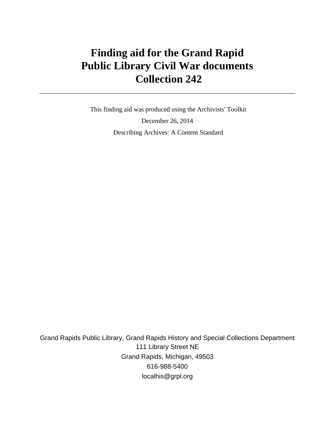# **Finding aid for the Grand Rapid Public Library Civil War documents Collection 242**

 This finding aid was produced using the Archivists' Toolkit December 26, 2014 Describing Archives: A Content Standard

Grand Rapids Public Library, Grand Rapids History and Special Collections Department 111 Library Street NE Grand Rapids, Michigan, 49503 616-988-5400 localhis@grpl.org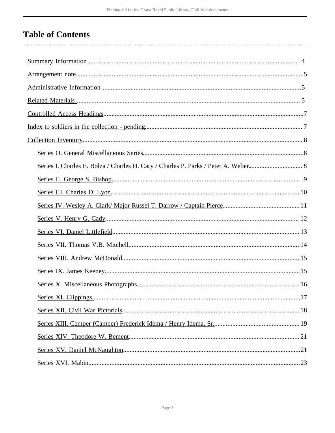# **Table of Contents**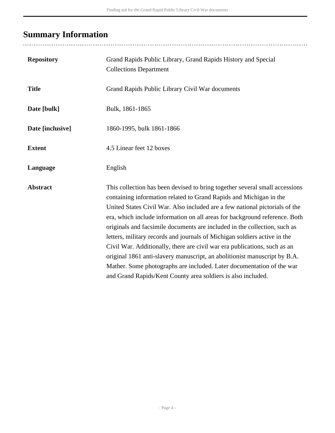# <span id="page-3-0"></span>**Summary Information**

..................................

| <b>Repository</b> | Grand Rapids Public Library, Grand Rapids History and Special<br><b>Collections Department</b>                                                                                                                                                                                                                                                                                                                                                                                                                                                                                                                                                                                                                                                                              |
|-------------------|-----------------------------------------------------------------------------------------------------------------------------------------------------------------------------------------------------------------------------------------------------------------------------------------------------------------------------------------------------------------------------------------------------------------------------------------------------------------------------------------------------------------------------------------------------------------------------------------------------------------------------------------------------------------------------------------------------------------------------------------------------------------------------|
| <b>Title</b>      | Grand Rapids Public Library Civil War documents                                                                                                                                                                                                                                                                                                                                                                                                                                                                                                                                                                                                                                                                                                                             |
| Date [bulk]       | Bulk, 1861-1865                                                                                                                                                                                                                                                                                                                                                                                                                                                                                                                                                                                                                                                                                                                                                             |
| Date [inclusive]  | 1860-1995, bulk 1861-1866                                                                                                                                                                                                                                                                                                                                                                                                                                                                                                                                                                                                                                                                                                                                                   |
| <b>Extent</b>     | 4.5 Linear feet 12 boxes                                                                                                                                                                                                                                                                                                                                                                                                                                                                                                                                                                                                                                                                                                                                                    |
| Language          | English                                                                                                                                                                                                                                                                                                                                                                                                                                                                                                                                                                                                                                                                                                                                                                     |
| <b>Abstract</b>   | This collection has been devised to bring together several small accessions<br>containing information related to Grand Rapids and Michigan in the<br>United States Civil War. Also included are a few national pictorials of the<br>era, which include information on all areas for background reference. Both<br>originals and facsimile documents are included in the collection, such as<br>letters, military records and journals of Michigan soldiers active in the<br>Civil War. Additionally, there are civil war era publications, such as an<br>original 1861 anti-slavery manuscript, an abolitionist manuscript by B.A.<br>Mather. Some photographs are included. Later documentation of the war<br>and Grand Rapids/Kent County area soldiers is also included. |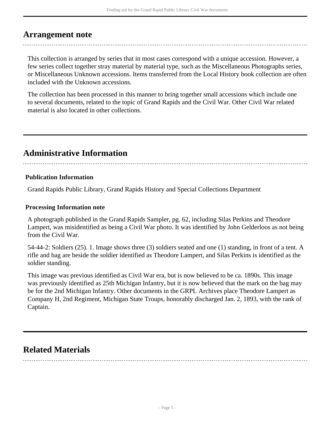# <span id="page-4-0"></span>**Arrangement note**

This collection is arranged by series that in most cases correspond with a unique accession. However, a few series collect together stray material by material type, such as the Miscellaneous Photographs series, or Miscellaneous Unknown accessions. Items transferred from the Local History book collection are often included with the Unknown accessions.

The collection has been processed in this manner to bring together small accessions which include one to several documents, related to the topic of Grand Rapids and the Civil War. Other Civil War related material is also located in other collections.

# <span id="page-4-1"></span>**Administrative Information**

# **Publication Information**

Grand Rapids Public Library, Grand Rapids History and Special Collections Department

### **Processing Information note**

A photograph published in the Grand Rapids Sampler, pg. 62, including Silas Perkins and Theodore Lampert, was misidentified as being a Civil War photo. It was identified by John Gelderloos as not being from the Civil War.

54-44-2: Soldiers (25). 1. Image shows three (3) soldiers seated and one (1) standing, in front of a tent. A rifle and bag are beside the soldier identified as Theodore Lampert, and Silas Perkins is identified as the soldier standing.

This image was previous identified as Civil War era, but is now believed to be ca. 1890s. This image was previously identified as 25th Michigan Infantry, but it is now believed that the mark on the bag may be for the 2nd Michigan Infantry. Other documents in the GRPL Archives place Theodore Lampert as Company H, 2nd Regiment, Michigan State Troups, honorably discharged Jan. 2, 1893, with the rank of Captain.

# <span id="page-4-2"></span>**Related Materials**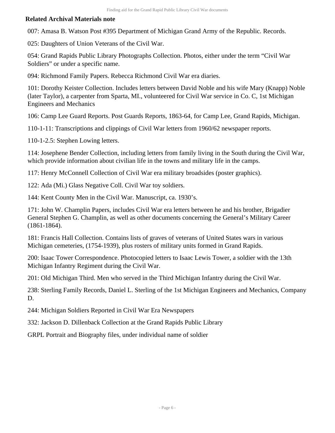# **Related Archival Materials note**

007: Amasa B. Watson Post #395 Department of Michigan Grand Army of the Republic. Records.

025: Daughters of Union Veterans of the Civil War.

054: Grand Rapids Public Library Photographs Collection. Photos, either under the term "Civil War Soldiers" or under a specific name.

094: Richmond Family Papers. Rebecca Richmond Civil War era diaries.

101: Dorothy Keister Collection. Includes letters between David Noble and his wife Mary (Knapp) Noble (later Taylor), a carpenter from Sparta, MI., volunteered for Civil War service in Co. C, 1st Michigan Engineers and Mechanics

106: Camp Lee Guard Reports. Post Guards Reports, 1863-64, for Camp Lee, Grand Rapids, Michigan.

110-1-11: Transcriptions and clippings of Civil War letters from 1960/62 newspaper reports.

110-1-2.5: Stephen Lowing letters.

114: Josephene Bender Collection, including letters from family living in the South during the Civil War, which provide information about civilian life in the towns and military life in the camps.

117: Henry McConnell Collection of Civil War era military broadsides (poster graphics).

122: Ada (Mi.) Glass Negative Coll. Civil War toy soldiers.

144: Kent County Men in the Civil War. Manuscript, ca. 1930's.

171: John W. Champlin Papers, includes Civil War era letters between he and his brother, Brigadier General Stephen G. Champlin, as well as other documents concerning the General's Military Career (1861-1864).

181: Francis Hall Collection. Contains lists of graves of veterans of United States wars in various Michigan cemeteries, (1754-1939), plus rosters of military units formed in Grand Rapids.

200: Isaac Tower Correspondence. Photocopied letters to Isaac Lewis Tower, a soldier with the 13th Michigan Infantry Regiment during the Civil War.

201: Old Michigan Third. Men who served in the Third Michigan Infantry during the Civil War.

238: Sterling Family Records, Daniel L. Sterling of the 1st Michigan Engineers and Mechanics, Company D.

244: Michigan Soldiers Reported in Civil War Era Newspapers

332: Jackson D. Dillenback Collection at the Grand Rapids Public Library

GRPL Portrait and Biography files, under individual name of soldier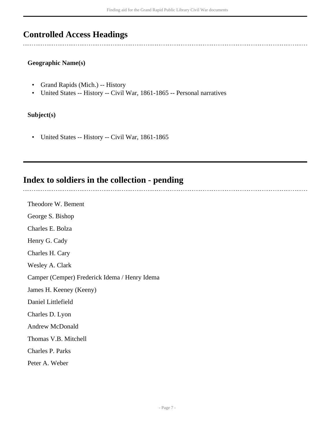# <span id="page-6-0"></span>**Controlled Access Headings**

### **Geographic Name(s)**

- Grand Rapids (Mich.) -- History
- United States -- History -- Civil War, 1861-1865 -- Personal narratives

# **Subject(s)**

• United States -- History -- Civil War, 1861-1865

# <span id="page-6-1"></span>**Index to soldiers in the collection - pending**

Theodore W. Bement George S. Bishop Charles E. Bolza Henry G. Cady Charles H. Cary Wesley A. Clark Camper (Cemper) Frederick Idema / Henry Idema James H. Keeney (Keeny) Daniel Littlefield Charles D. Lyon Andrew McDonald Thomas V.B. Mitchell Charles P. Parks Peter A. Weber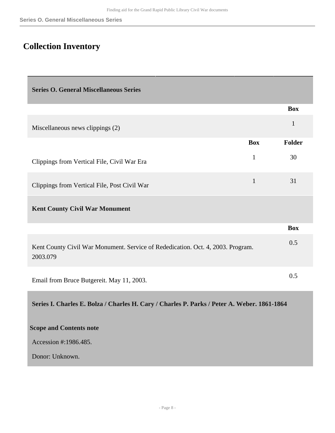# <span id="page-7-0"></span>**Collection Inventory**

<span id="page-7-2"></span><span id="page-7-1"></span>

| <b>Series O. General Miscellaneous Series</b>                                               |              |               |
|---------------------------------------------------------------------------------------------|--------------|---------------|
|                                                                                             |              | <b>Box</b>    |
| Miscellaneous news clippings (2)                                                            |              | $\mathbf{1}$  |
|                                                                                             | <b>Box</b>   | <b>Folder</b> |
| Clippings from Vertical File, Civil War Era                                                 | $\mathbf{1}$ | 30            |
| Clippings from Vertical File, Post Civil War                                                | $\mathbf{1}$ | 31            |
| <b>Kent County Civil War Monument</b>                                                       |              |               |
|                                                                                             |              | <b>Box</b>    |
| Kent County Civil War Monument. Service of Rededication. Oct. 4, 2003. Program.<br>2003.079 |              | 0.5           |
| Email from Bruce Butgereit. May 11, 2003.                                                   |              | 0.5           |
| Series I. Charles E. Bolza / Charles H. Cary / Charles P. Parks / Peter A. Weber. 1861-1864 |              |               |
| <b>Scope and Contents note</b>                                                              |              |               |
| Accession #:1986.485.                                                                       |              |               |
| Donor: Unknown.                                                                             |              |               |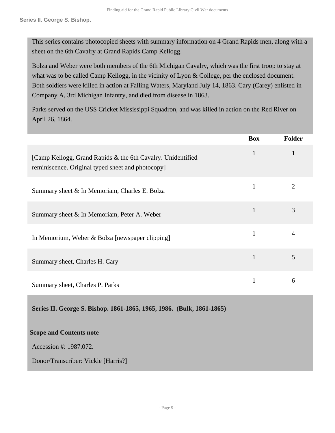This series contains photocopied sheets with summary information on 4 Grand Rapids men, along with a sheet on the 6th Cavalry at Grand Rapids Camp Kellogg.

Bolza and Weber were both members of the 6th Michigan Cavalry, which was the first troop to stay at what was to be called Camp Kellogg, in the vicinity of Lyon & College, per the enclosed document. Both soldiers were killed in action at Falling Waters, Maryland July 14, 1863. Cary (Carey) enlisted in Company A, 3rd Michigan Infantry, and died from disease in 1863.

Parks served on the USS Cricket Mississippi Squadron, and was killed in action on the Red River on April 26, 1864.

|                                                                                                                  | <b>Box</b>   | <b>Folder</b> |
|------------------------------------------------------------------------------------------------------------------|--------------|---------------|
| [Camp Kellogg, Grand Rapids & the 6th Cavalry. Unidentified<br>reminiscence. Original typed sheet and photocopy] | $\mathbf{1}$ |               |
| Summary sheet & In Memoriam, Charles E. Bolza                                                                    | 1            | 2             |
| Summary sheet & In Memoriam, Peter A. Weber                                                                      | 1            | 3             |
| In Memorium, Weber & Bolza [newspaper clipping]                                                                  | 1            |               |
| Summary sheet, Charles H. Cary                                                                                   | 1            | 5             |
| Summary sheet, Charles P. Parks                                                                                  | 1            | 6             |

<span id="page-8-0"></span>**Series II. George S. Bishop. 1861-1865, 1965, 1986. (Bulk, 1861-1865)**

#### **Scope and Contents note**

Accession #: 1987.072.

Donor/Transcriber: Vickie [Harris?]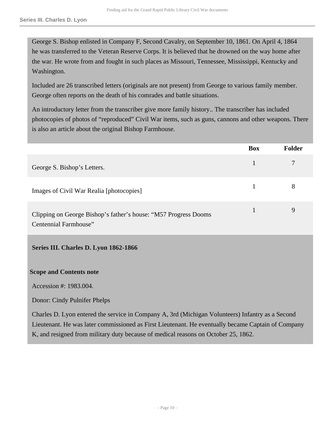George S. Bishop enlisted in Company F, Second Cavalry, on September 10, 1861. On April 4, 1864 he was transferred to the Veteran Reserve Corps. It is believed that he drowned on the way home after the war. He wrote from and fought in such places as Missouri, Tennessee, Mississippi, Kentucky and Washington.

Included are 26 transcribed letters (originals are not present) from George to various family member. George often reports on the death of his comrades and battle situations.

An introductory letter from the transcriber give more family history.. The transcriber has included photocopies of photos of "reproduced" Civil War items, such as guns, cannons and other weapons. There is also an article about the original Bishop Farmhouse.

|                                                                                           | <b>Box</b>                                                                                                                                     | <b>Folder</b> |
|-------------------------------------------------------------------------------------------|------------------------------------------------------------------------------------------------------------------------------------------------|---------------|
| George S. Bishop's Letters.                                                               | 1                                                                                                                                              | 7             |
| Images of Civil War Realia [photocopies]                                                  | $\mathbf{1}$                                                                                                                                   | 8             |
| Clipping on George Bishop's father's house: "M57 Progress Dooms"<br>Centennial Farmhouse" | $\mathbf{1}$                                                                                                                                   | 9             |
| Series III. Charles D. Lyon 1862-1866                                                     |                                                                                                                                                |               |
| <b>Scope and Contents note</b>                                                            |                                                                                                                                                |               |
| Accession #: 1983.004.                                                                    |                                                                                                                                                |               |
| Donor: Cindy Pulnifer Phelps                                                              |                                                                                                                                                |               |
| $\alpha$ in $\mathbf{r}$ is the set of $\alpha$                                           | $\mathbf{v}$ $\mathbf{v}$ $\mathbf{v}$ $\mathbf{v}$ $\mathbf{v}$ $\mathbf{v}$ $\mathbf{v}$ $\mathbf{v}$ $\mathbf{v}$ $\mathbf{v}$ $\mathbf{v}$ | $\sim$ $\sim$ |

<span id="page-9-0"></span>Charles D. Lyon entered the service in Company A, 3rd (Michigan Volunteers) Infantry as a Second Lieutenant. He was later commissioned as First Lieutenant. He eventually became Captain of Company K, and resigned from military duty because of medical reasons on October 25, 1862.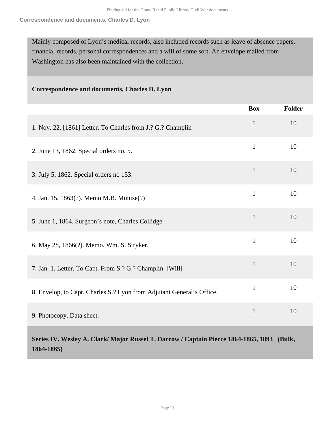Mainly composed of Lyon's medical records, also included records such as leave of absence papers, financial records, personal correspondences and a will of some sort. An envelope mailed from Washington has also been maintained with the collection.

### **Correspondence and documents, Charles D. Lyon**

|                                                                       | <b>Box</b>   | <b>Folder</b> |
|-----------------------------------------------------------------------|--------------|---------------|
| 1. Nov. 22, [1861] Letter. To Charles from J.? G.? Champlin           | $\mathbf{1}$ | 10            |
| 2. June 13, 1862. Special orders no. 5.                               | $\mathbf{1}$ | 10            |
| 3. July 5, 1862. Special orders no 153.                               | $\mathbf{1}$ | 10            |
| 4. Jan. 15, 1863(?). Memo M.B. Munise(?)                              | $\mathbf{1}$ | 10            |
| 5. June 1, 1864. Surgeon's note, Charles Collidge                     | $\mathbf{1}$ | 10            |
| 6. May 28, 1866(?). Memo. Wm. S. Stryker.                             | $\mathbf{1}$ | 10            |
| 7. Jan. 1, Letter. To Capt. From S.? G.? Champlin. [Will]             | $\mathbf{1}$ | 10            |
| 8. Envelop, to Capt. Charles S.? Lyon from Adjutant General's Office. | $\mathbf{1}$ | 10            |
| 9. Photocopy. Data sheet.                                             | $\mathbf{1}$ | 10            |
|                                                                       |              |               |

<span id="page-10-0"></span>**Series IV. Wesley A. Clark/ Major Russel T. Darrow / Captain Pierce 1864-1865, 1893 (Bulk, 1864-1865)**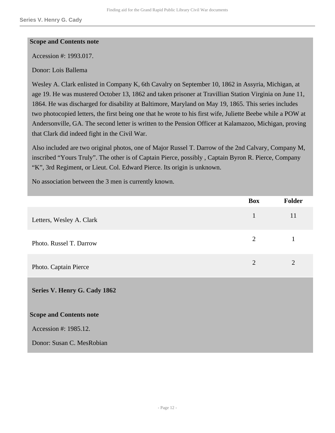#### **Scope and Contents note**

Accession #: 1993.017.

Donor: Lois Ballema

Wesley A. Clark enlisted in Company K, 6th Cavalry on September 10, 1862 in Assyria, Michigan, at age 19. He was mustered October 13, 1862 and taken prisoner at Travillian Station Virginia on June 11, 1864. He was discharged for disability at Baltimore, Maryland on May 19, 1865. This series includes two photocopied letters, the first being one that he wrote to his first wife, Juliette Beebe while a POW at Andersonville, GA. The second letter is written to the Pension Officer at Kalamazoo, Michigan, proving that Clark did indeed fight in the Civil War.

Also included are two original photos, one of Major Russel T. Darrow of the 2nd Calvary, Company M, inscribed "Yours Truly". The other is of Captain Pierce, possibly , Captain Byron R. Pierce, Company "K", 3rd Regiment, or Lieut. Col. Edward Pierce. Its origin is unknown.

No association between the 3 men is currently known.

<span id="page-11-0"></span>

|                                | <b>Box</b>     | Folder         |
|--------------------------------|----------------|----------------|
| Letters, Wesley A. Clark       | $\mathbf{1}$   | 11             |
| Photo. Russel T. Darrow        | $\overline{2}$ |                |
| Photo. Captain Pierce          | $\overline{2}$ | $\overline{2}$ |
| Series V. Henry G. Cady 1862   |                |                |
| <b>Scope and Contents note</b> |                |                |
| Accession #: 1985.12.          |                |                |
| Donor: Susan C. MesRobian      |                |                |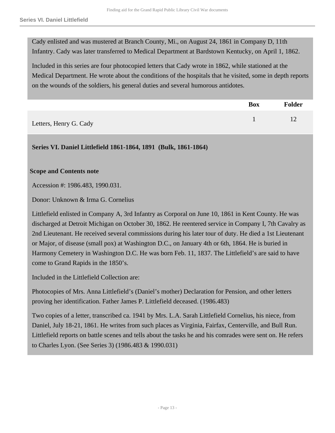Cady enlisted and was mustered at Branch County, Mi., on August 24, 1861 in Company D, 11th Infantry. Cady was later transferred to Medical Department at Bardstown Kentucky, on April 1, 1862.

Included in this series are four photocopied letters that Cady wrote in 1862, while stationed at the Medical Department. He wrote about the conditions of the hospitals that he visited, some in depth reports on the wounds of the soldiers, his general duties and several humorous antidotes.

|                        | <b>Box</b> | Folder |
|------------------------|------------|--------|
| Letters, Henry G. Cady |            |        |

<span id="page-12-0"></span>**Series VI. Daniel Littlefield 1861-1864, 1891 (Bulk, 1861-1864)**

#### **Scope and Contents note**

Accession #: 1986.483, 1990.031.

Donor: Unknown & Irma G. Cornelius

Littlefield enlisted in Company A, 3rd Infantry as Corporal on June 10, 1861 in Kent County. He was discharged at Detroit Michigan on October 30, 1862. He reentered service in Company I, 7th Cavalry as 2nd Lieutenant. He received several commissions during his later tour of duty. He died a 1st Lieutenant or Major, of disease (small pox) at Washington D.C., on January 4th or 6th, 1864. He is buried in Harmony Cemetery in Washington D.C. He was born Feb. 11, 1837. The Littlefield's are said to have come to Grand Rapids in the 1850's.

Included in the Littlefield Collection are:

Photocopies of Mrs. Anna Littlefield's (Daniel's mother) Declaration for Pension, and other letters proving her identification. Father James P. Littlefield deceased. (1986.483)

Two copies of a letter, transcribed ca. 1941 by Mrs. L.A. Sarah Littlefield Cornelius, his niece, from Daniel, July 18-21, 1861. He writes from such places as Virginia, Fairfax, Centerville, and Bull Run. Littlefield reports on battle scenes and tells about the tasks he and his comrades were sent on. He refers to Charles Lyon. (See Series 3) (1986.483 & 1990.031)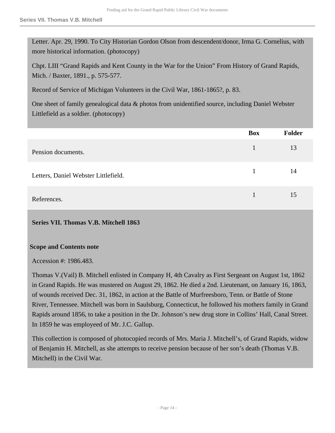Letter. Apr. 29, 1990. To City Historian Gordon Olson from descendent/donor, Irma G. Cornelius, with more historical information. (photocopy)

Chpt. LIII "Grand Rapids and Kent County in the War for the Union" From History of Grand Rapids, Mich. / Baxter, 1891., p. 575-577.

Record of Service of Michigan Volunteers in the Civil War, 1861-1865?, p. 83.

One sheet of family genealogical data & photos from unidentified source, including Daniel Webster Littlefield as a soldier. (photocopy)

|                                      | <b>Box</b> | <b>Folder</b> |
|--------------------------------------|------------|---------------|
| Pension documents.                   |            | 13            |
| Letters, Daniel Webster Littlefield. |            | 14            |
| References.                          |            | 15            |

<span id="page-13-0"></span>**Series VII. Thomas V.B. Mitchell 1863** 

#### **Scope and Contents note**

Accession #: 1986.483.

Thomas V.(Vail) B. Mitchell enlisted in Company H, 4th Cavalry as First Sergeant on August 1st, 1862 in Grand Rapids. He was mustered on August 29, 1862. He died a 2nd. Lieutenant, on January 16, 1863, of wounds received Dec. 31, 1862, in action at the Battle of Murfreesboro, Tenn. or Battle of Stone River, Tennessee. Mitchell was born in Saulsburg, Connecticut, he followed his mothers family in Grand Rapids around 1856, to take a position in the Dr. Johnson's new drug store in Collins' Hall, Canal Street. In 1859 he was employeed of Mr. J.C. Gallup.

This collection is composed of photocopied records of Mrs. Maria J. Mitchell's, of Grand Rapids, widow of Benjamin H. Mitchell, as she attempts to receive pension because of her son's death (Thomas V.B. Mitchell) in the Civil War.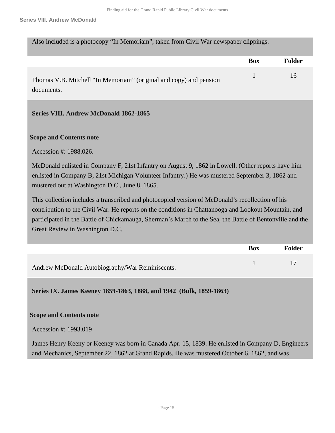Also included is a photocopy "In Memoriam", taken from Civil War newspaper clippings.

|                                                                    | Box | Folder |
|--------------------------------------------------------------------|-----|--------|
| Thomas V.B. Mitchell "In Memoriam" (original and copy) and pension |     | 16     |
| documents.                                                         |     |        |

#### <span id="page-14-0"></span>**Series VIII. Andrew McDonald 1862-1865**

#### **Scope and Contents note**

Accession #: 1988.026.

McDonald enlisted in Company F, 21st Infantry on August 9, 1862 in Lowell. (Other reports have him enlisted in Company B, 21st Michigan Volunteer Infantry.) He was mustered September 3, 1862 and mustered out at Washington D.C., June 8, 1865.

This collection includes a transcribed and photocopied version of McDonald's recollection of his contribution to the Civil War. He reports on the conditions in Chattanooga and Lookout Mountain, and participated in the Battle of Chickamauga, Sherman's March to the Sea, the Battle of Bentonville and the Great Review in Washington D.C.

|                                                 | Box | Folder |
|-------------------------------------------------|-----|--------|
| Andrew McDonald Autobiography/War Reminiscents. |     |        |

<span id="page-14-1"></span>**Series IX. James Keeney 1859-1863, 1888, and 1942 (Bulk, 1859-1863)**

#### **Scope and Contents note**

Accession #: 1993.019

James Henry Keeny or Keeney was born in Canada Apr. 15, 1839. He enlisted in Company D, Engineers and Mechanics, September 22, 1862 at Grand Rapids. He was mustered October 6, 1862, and was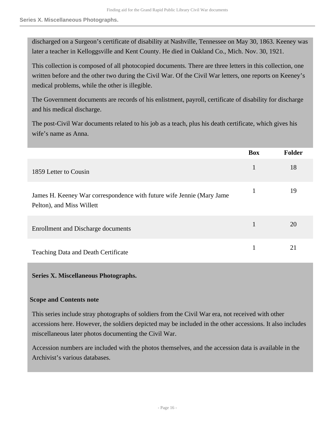discharged on a Surgeon's certificate of disability at Nashville, Tennessee on May 30, 1863. Keeney was later a teacher in Kelloggsville and Kent County. He died in Oakland Co., Mich. Nov. 30, 1921.

This collection is composed of all photocopied documents. There are three letters in this collection, one written before and the other two during the Civil War. Of the Civil War letters, one reports on Keeney's medical problems, while the other is illegible.

The Government documents are records of his enlistment, payroll, certificate of disability for discharge and his medical discharge.

The post-Civil War documents related to his job as a teach, plus his death certificate, which gives his wife's name as Anna.

|                                                                                                    | <b>Box</b> | <b>Folder</b> |
|----------------------------------------------------------------------------------------------------|------------|---------------|
| 1859 Letter to Cousin                                                                              | 1          | 18            |
| James H. Keeney War correspondence with future wife Jennie (Mary Jame<br>Pelton), and Miss Willett |            | 19            |
| Enrollment and Discharge documents                                                                 |            | 20            |
| <b>Teaching Data and Death Certificate</b>                                                         |            | 21            |

#### <span id="page-15-0"></span>**Series X. Miscellaneous Photographs.**

#### **Scope and Contents note**

This series include stray photographs of soldiers from the Civil War era, not received with other accessions here. However, the soldiers depicted may be included in the other accessions. It also includes miscellaneous later photos documenting the Civil War.

Accession numbers are included with the photos themselves, and the accession data is available in the Archivist's various databases.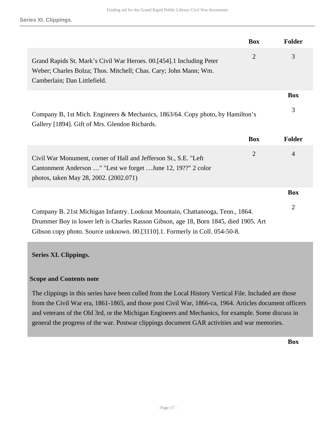|                                                                                                                                                                              | <b>Box</b>     | <b>Folder</b>  |
|------------------------------------------------------------------------------------------------------------------------------------------------------------------------------|----------------|----------------|
| Grand Rapids St. Mark's Civil War Heroes. 00.[454].1 Including Peter<br>Weber; Charles Bolza; Thos. Mitchell; Chas. Cary; John Mann; Wm.<br>Camberlain; Dan Littlefield.     | $\overline{2}$ | 3              |
|                                                                                                                                                                              |                | <b>Box</b>     |
| Company B, 1st Mich. Engineers & Mechanics, 1863/64. Copy photo, by Hamilton's<br>Gallery [1894]. Gift of Mrs. Glendon Richards.                                             |                | 3              |
|                                                                                                                                                                              | <b>Box</b>     | <b>Folder</b>  |
| Civil War Monument, corner of Hall and Jefferson St., S.E. "Left"<br>Cantonment Anderson " "Lest we forget  June 12, 19??" 2 color<br>photos, taken May 28, 2002. (2002.071) | $\overline{2}$ | $\overline{4}$ |
|                                                                                                                                                                              |                | <b>Box</b>     |
| Company B. 21st Michigan Infantry. Lookout Mountain, Chattanooga, Tenn., 1864.<br>Drummer Boy in lower left is Charles Rasson Gibson, age 18, Born 1845, died 1905. Art      |                | 2              |

# <span id="page-16-0"></span>**Series XI. Clippings.**

#### **Scope and Contents note**

The clippings in this series have been culled from the Local History Vertical File. Included are those from the Civil War era, 1861-1865, and those post Civil War, 1866-ca, 1964. Articles document officers and veterans of the Old 3rd, or the Michigan Engineers and Mechanics, for example. Some discuss in general the progress of the war. Postwar clippings document GAR activities and war memories.

**Box**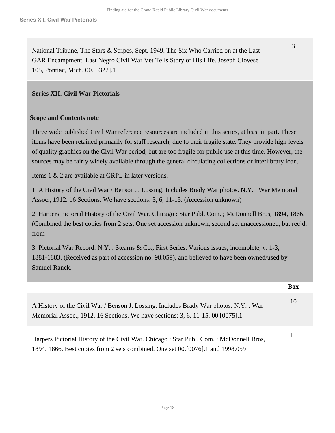National Tribune, The Stars & Stripes, Sept. 1949. The Six Who Carried on at the Last GAR Encampment. Last Negro Civil War Vet Tells Story of His Life. Joseph Clovese 105, Pontiac, Mich. 00.[5322].1

#### <span id="page-17-0"></span>**Series XII. Civil War Pictorials**

#### **Scope and Contents note**

Three wide published Civil War reference resources are included in this series, at least in part. These items have been retained primarily for staff research, due to their fragile state. They provide high levels of quality graphics on the Civil War period, but are too fragile for public use at this time. However, the sources may be fairly widely available through the general circulating collections or interlibrary loan.

Items 1 & 2 are available at GRPL in later versions.

1. A History of the Civil War / Benson J. Lossing. Includes Brady War photos. N.Y. : War Memorial Assoc., 1912. 16 Sections. We have sections: 3, 6, 11-15. (Accession unknown)

2. Harpers Pictorial History of the Civil War. Chicago : Star Publ. Com. ; McDonnell Bros, 1894, 1866. (Combined the best copies from 2 sets. One set accession unknown, second set unaccessioned, but rec'd. from

3. Pictorial War Record. N.Y. : Stearns & Co., First Series. Various issues, incomplete, v. 1-3, 1881-1883. (Received as part of accession no. 98.059), and believed to have been owned/used by Samuel Ranck.

|                                                                                                                                                                           | <b>Box</b> |
|---------------------------------------------------------------------------------------------------------------------------------------------------------------------------|------------|
| A History of the Civil War / Benson J. Lossing. Includes Brady War photos. N.Y. : War<br>Memorial Assoc., 1912. 16 Sections. We have sections: 3, 6, 11-15. 00. [0075]. 1 | 10         |
| Harpers Pictorial History of the Civil War. Chicago: Star Publ. Com.; McDonnell Bros,<br>1894, 1866. Best copies from 2 sets combined. One set 00.[0076].1 and 1998.059   | 11         |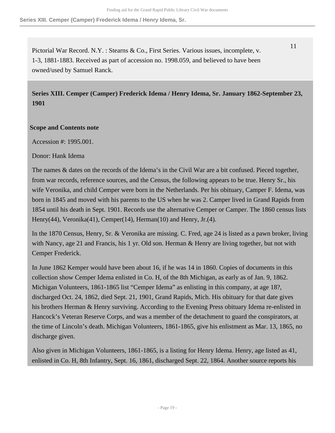**Series XIII. Cemper (Camper) Frederick Idema / Henry Idema, Sr.**

Pictorial War Record. N.Y. : Stearns & Co., First Series. Various issues, incomplete, v. 1-3, 1881-1883. Received as part of accession no. 1998.059, and believed to have been owned/used by Samuel Ranck.

<span id="page-18-0"></span>**Series XIII. Cemper (Camper) Frederick Idema / Henry Idema, Sr. January 1862-September 23, 1901** 

### **Scope and Contents note**

Accession #: 1995.001.

Donor: Hank Idema

The names & dates on the records of the Idema's in the Civil War are a bit confused. Pieced together, from war records, reference sources, and the Census, the following appears to be true. Henry Sr., his wife Veronika, and child Cemper were born in the Netherlands. Per his obituary, Camper F. Idema, was born in 1845 and moved with his parents to the US when he was 2. Camper lived in Grand Rapids from 1854 until his death in Sept. 1901. Records use the alternative Cemper or Camper. The 1860 census lists Henry(44), Veronika(41), Cemper(14), Herman(10) and Henry, Jr.(4).

In the 1870 Census, Henry, Sr. & Veronika are missing. C. Fred, age 24 is listed as a pawn broker, living with Nancy, age 21 and Francis, his 1 yr. Old son. Herman & Henry are living together, but not with Cemper Frederick.

In June 1862 Kemper would have been about 16, if he was 14 in 1860. Copies of documents in this collection show Cemper Idema enlisted in Co. H, of the 8th Michigan, as early as of Jan. 9, 1862. Michigan Volunteers, 1861-1865 list "Cemper Idema" as enlisting in this company, at age 18?, discharged Oct. 24, 1862, died Sept. 21, 1901, Grand Rapids, Mich. His obituary for that date gives his brothers Herman & Henry surviving. According to the Evening Press obituary Idema re-enlisted in Hancock's Veteran Reserve Corps, and was a member of the detachment to guard the conspirators, at the time of Lincoln's death. Michigan Volunteers, 1861-1865, give his enlistment as Mar. 13, 1865, no discharge given.

Also given in Michigan Volunteers, 1861-1865, is a listing for Henry Idema. Henry, age listed as 41, enlisted in Co. H, 8th Infantry, Sept. 16, 1861, discharged Sept. 22, 1864. Another source reports his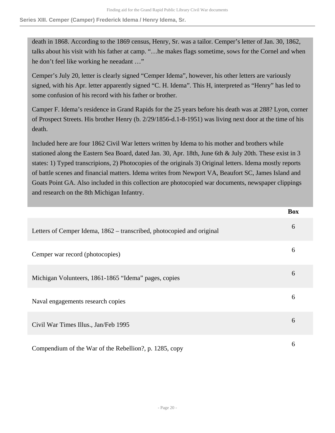death in 1868. According to the 1869 census, Henry, Sr. was a tailor. Cemper's letter of Jan. 30, 1862, talks about his visit with his father at camp. "…he makes flags sometime, sows for the Cornel and when he don't feel like working he neeadant …"

Cemper's July 20, letter is clearly signed "Cemper Idema", however, his other letters are variously signed, with his Apr. letter apparently signed "C. H. Idema". This H, interpreted as "Henry" has led to some confusion of his record with his father or brother.

Camper F. Idema's residence in Grand Rapids for the 25 years before his death was at 288? Lyon, corner of Prospect Streets. His brother Henry (b. 2/29/1856-d.1-8-1951) was living next door at the time of his death.

Included here are four 1862 Civil War letters written by Idema to his mother and brothers while stationed along the Eastern Sea Board, dated Jan. 30, Apr. 18th, June 6th & July 20th. These exist in 3 states: 1) Typed transcripions, 2) Photocopies of the originals 3) Original letters. Idema mostly reports of battle scenes and financial matters. Idema writes from Newport VA, Beaufort SC, James Island and Goats Point GA. Also included in this collection are photocopied war documents, newspaper clippings and research on the 8th Michigan Infantry.

|                                                                       | <b>Box</b> |
|-----------------------------------------------------------------------|------------|
| Letters of Cemper Idema, 1862 – transcribed, photocopied and original | 6          |
| Cemper war record (photocopies)                                       | 6          |
| Michigan Volunteers, 1861-1865 "Idema" pages, copies                  | 6          |
| Naval engagements research copies                                     | 6          |
| Civil War Times Illus., Jan/Feb 1995                                  | 6          |
| Compendium of the War of the Rebellion?, p. 1285, copy                | 6          |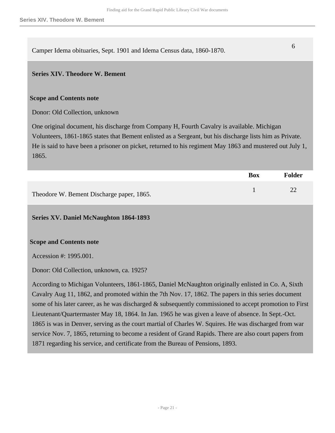Camper Idema obituaries, Sept. 1901 and Idema Census data, 1860-1870. <sup>6</sup>

#### <span id="page-20-0"></span>**Series XIV. Theodore W. Bement**

#### **Scope and Contents note**

Donor: Old Collection, unknown

One original document, his discharge from Company H, Fourth Cavalry is available. Michigan Volunteers, 1861-1865 states that Bement enlisted as a Sergeant, but his discharge lists him as Private. He is said to have been a prisoner on picket, returned to his regiment May 1863 and mustered out July 1, 1865.

|                                           | <b>Box</b> | Folder |
|-------------------------------------------|------------|--------|
| Theodore W. Bement Discharge paper, 1865. |            | 22     |

#### <span id="page-20-1"></span>**Series XV. Daniel McNaughton 1864-1893**

#### **Scope and Contents note**

Accession #: 1995.001.

Donor: Old Collection, unknown, ca. 1925?

According to Michigan Volunteers, 1861-1865, Daniel McNaughton originally enlisted in Co. A, Sixth Cavalry Aug 11, 1862, and promoted within the 7th Nov. 17, 1862. The papers in this series document some of his later career, as he was discharged & subsequently commissioned to accept promotion to First Lieutenant/Quartermaster May 18, 1864. In Jan. 1965 he was given a leave of absence. In Sept.-Oct. 1865 is was in Denver, serving as the court martial of Charles W. Squires. He was discharged from war service Nov. 7, 1865, returning to become a resident of Grand Rapids. There are also court papers from 1871 regarding his service, and certificate from the Bureau of Pensions, 1893.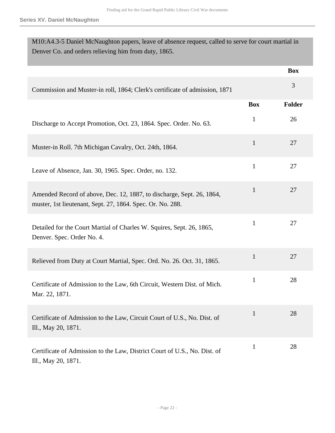| Denver Co. and orders relieving him from duty, 1865.                                                                                |              |               |
|-------------------------------------------------------------------------------------------------------------------------------------|--------------|---------------|
|                                                                                                                                     |              | <b>Box</b>    |
| Commission and Muster-in roll, 1864; Clerk's certificate of admission, 1871                                                         |              | 3             |
|                                                                                                                                     | <b>Box</b>   | <b>Folder</b> |
| Discharge to Accept Promotion, Oct. 23, 1864. Spec. Order. No. 63.                                                                  | $\mathbf{1}$ | 26            |
| Muster-in Roll. 7th Michigan Cavalry, Oct. 24th, 1864.                                                                              | $\mathbf{1}$ | 27            |
| Leave of Absence, Jan. 30, 1965. Spec. Order, no. 132.                                                                              | $\mathbf{1}$ | 27            |
| Amended Record of above, Dec. 12, 1887, to discharge, Sept. 26, 1864,<br>muster, 1st lieutenant, Sept. 27, 1864. Spec. Or. No. 288. | $\mathbf{1}$ | 27            |
| Detailed for the Court Martial of Charles W. Squires, Sept. 26, 1865,<br>Denver. Spec. Order No. 4.                                 | $\mathbf{1}$ | 27            |
| Relieved from Duty at Court Martial, Spec. Ord. No. 26. Oct. 31, 1865.                                                              | $\mathbf{1}$ | 27            |
| Certificate of Admission to the Law, 6th Circuit, Western Dist. of Mich.<br>Mar. 22, 1871.                                          | $\mathbf{1}$ | 28            |
| Certificate of Admission to the Law, Circuit Court of U.S., No. Dist. of<br>Ill., May 20, 1871.                                     | $\mathbf{1}$ | 28            |
| Certificate of Admission to the Law, District Court of U.S., No. Dist. of<br>Ill., May 20, 1871.                                    | $\mathbf{1}$ | 28            |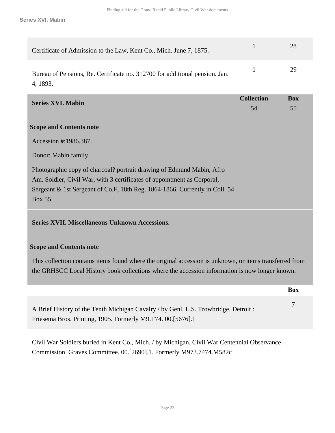| Certificate of Admission to the Law, Kent Co., Mich. June 7, 1875.                      | 28 |
|-----------------------------------------------------------------------------------------|----|
| Bureau of Pensions, Re. Certificate no. 312700 for additional pension. Jan.<br>4, 1893. | 29 |

<span id="page-22-0"></span>

| <b>Series XVI. Mabin</b>                                                                                                                                                                                                          | <b>Collection</b> | <b>Box</b> |
|-----------------------------------------------------------------------------------------------------------------------------------------------------------------------------------------------------------------------------------|-------------------|------------|
|                                                                                                                                                                                                                                   | 54                | 55         |
| <b>Scope and Contents note</b>                                                                                                                                                                                                    |                   |            |
| Accession #:1986.387.                                                                                                                                                                                                             |                   |            |
| Donor: Mabin family                                                                                                                                                                                                               |                   |            |
| Photographic copy of charcoal? portrait drawing of Edmund Mabin, Afro                                                                                                                                                             |                   |            |
| Am. Soldier, Civil War, with 3 certificates of appointment as Corporal,                                                                                                                                                           |                   |            |
| Sergeant & 1st Sergeant of Co.F, 18th Reg. 1864-1866. Currently in Coll. 54                                                                                                                                                       |                   |            |
| Box 55.                                                                                                                                                                                                                           |                   |            |
| <b>Series XVII. Miscellaneous Unknown Accessions.</b>                                                                                                                                                                             |                   |            |
| <b>Scope and Contents note</b>                                                                                                                                                                                                    |                   |            |
| $\mathbf{r}$ , and the contract of the contract of the contract of the contract of the contract of the contract of the contract of the contract of the contract of the contract of the contract of the contract of the contract o |                   |            |

<span id="page-22-1"></span>This collection contains items found where the original accession is unknown, or items transferred from the GRHSCC Local History book collections where the accession information is now longer known.

|                                                                                                                                                    | <b>Box</b> |
|----------------------------------------------------------------------------------------------------------------------------------------------------|------------|
| A Brief History of the Tenth Michigan Cavalry / by Genl. L.S. Trowbridge. Detroit :<br>Friesema Bros. Printing, 1905. Formerly M9.T74. 00.[5676].1 |            |

Civil War Soldiers buried in Kent Co., Mich. / by Michigan. Civil War Centennial Observance Commission. Graves Committee. 00.[2690].1. Formerly M973.7474.M582c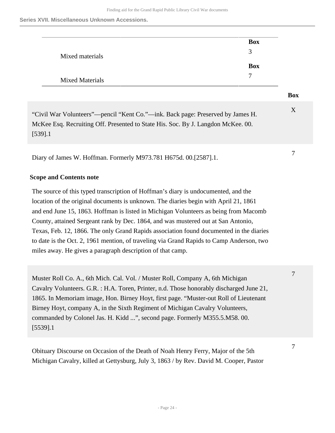**Series XVII. Miscellaneous Unknown Accessions.**

|                        | <b>Box</b>    |
|------------------------|---------------|
| Mixed materials        | $\mathcal{R}$ |
|                        | <b>Box</b>    |
| <b>Mixed Materials</b> | ⇁             |

#### **Box**

7

7

| "Civil War Volunteers"—pencil "Kent Co."—ink. Back page: Preserved by James H.   |  |
|----------------------------------------------------------------------------------|--|
| McKee Esq. Recruiting Off. Presented to State His. Soc. By J. Langdon McKee. 00. |  |
| $[539]$ .1                                                                       |  |

Diary of James W. Hoffman. Formerly M973.781 H675d. 00.[2587].1.

# **Scope and Contents note**

The source of this typed transcription of Hoffman's diary is undocumented, and the location of the original documents is unknown. The diaries begin with April 21, 1861 and end June 15, 1863. Hoffman is listed in Michigan Volunteers as being from Macomb County, attained Sergeant rank by Dec. 1864, and was mustered out at San Antonio, Texas, Feb. 12, 1866. The only Grand Rapids association found documented in the diaries to date is the Oct. 2, 1961 mention, of traveling via Grand Rapids to Camp Anderson, two miles away. He gives a paragraph description of that camp.

Muster Roll Co. A., 6th Mich. Cal. Vol. / Muster Roll, Company A, 6th Michigan Cavalry Volunteers. G.R. : H.A. Toren, Printer, n.d. Those honorably discharged June 21, 1865. In Memoriam image, Hon. Birney Hoyt, first page. "Muster-out Roll of Lieutenant Birney Hoyt, company A, in the Sixth Regiment of Michigan Cavalry Volunteers, commanded by Colonel Jas. H. Kidd ...", second page. Formerly M355.5.M58. 00. [5539].1 7

Obituary Discourse on Occasion of the Death of Noah Henry Ferry, Major of the 5th Michigan Cavalry, killed at Gettysburg, July 3, 1863 / by Rev. David M. Cooper, Pastor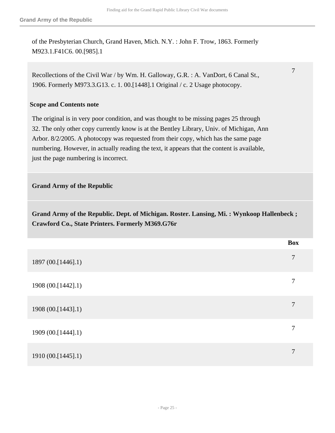of the Presbyterian Church, Grand Haven, Mich. N.Y. : John F. Trow, 1863. Formerly M923.1.F41C6. 00.[985].1

Recollections of the Civil War / by Wm. H. Galloway, G.R. : A. VanDort, 6 Canal St., 1906. Formerly M973.3.G13. c. 1. 00.[1448].1 Original / c. 2 Usage photocopy.

#### **Scope and Contents note**

The original is in very poor condition, and was thought to be missing pages 25 through 32. The only other copy currently know is at the Bentley Library, Univ. of Michigan, Ann Arbor. 8/2/2005. A photocopy was requested from their copy, which has the same page numbering. However, in actually reading the text, it appears that the content is available, just the page numbering is incorrect.

#### **Grand Army of the Republic**

**Grand Army of the Republic. Dept. of Michigan. Roster. Lansing, Mi. : Wynkoop Hallenbeck ; Crawford Co., State Printers. Formerly M369.G76r** 

|                    | <b>Box</b>     |
|--------------------|----------------|
| 1897 (00.[1446].1) | $\overline{7}$ |
| 1908 (00.[1442].1) | 7              |
| 1908 (00.[1443].1) | 7              |
| 1909 (00.[1444].1) | 7              |
| 1910 (00.[1445].1) | 7              |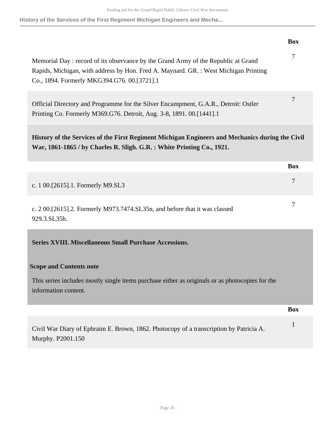**History of the Services of the First Regiment Michigan Engineers and Mecha...**

<span id="page-25-0"></span>

|                                                                                                                                                                                                                         | <b>Box</b>     |
|-------------------------------------------------------------------------------------------------------------------------------------------------------------------------------------------------------------------------|----------------|
| Memorial Day: record of its observance by the Grand Army of the Republic at Grand<br>Rapids, Michigan, with address by Hon. Fred A. Maynard. GR.: West Michigan Printing<br>Co., 1894. Formerly MKG394.G76. 00.[3721].1 | $\overline{7}$ |
| Official Directory and Programme for the Silver Encampment, G.A.R., Detroit: Ostler<br>Printing Co. Formerly M369.G76. Detroit, Aug. 3-8, 1891. 00.[1441].1                                                             | $\overline{7}$ |
| History of the Services of the First Regiment Michigan Engineers and Mechanics during the Civil<br>War, 1861-1865 / by Charles R. Sligh. G.R. : White Printing Co., 1921.                                               |                |
|                                                                                                                                                                                                                         | <b>Box</b>     |
| c. 1 00.[2615].1. Formerly M9.SL3                                                                                                                                                                                       | $\overline{7}$ |
| c. 2 00.[2615].2. Formerly M973.7474.SL35n, and before that it was classed<br>929.3.SL35h.                                                                                                                              | 7              |
| <b>Series XVIII. Miscellaneous Small Purchase Accessions.</b>                                                                                                                                                           |                |
| <b>Scope and Contents note</b>                                                                                                                                                                                          |                |
| This series includes mostly single items purchase either as originals or as photocopies for the<br>information content.                                                                                                 |                |
|                                                                                                                                                                                                                         | <b>Box</b>     |
| Civil War Diary of Ephraim E. Brown, 1862. Photocopy of a transcription by Patricia A.<br>Murphy. P2001.150                                                                                                             | $\mathbf{1}$   |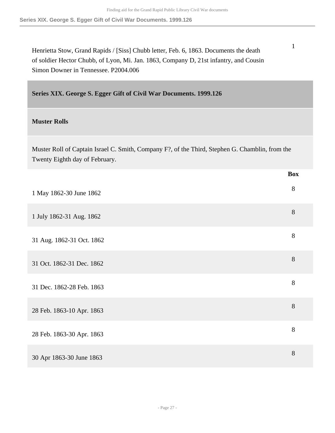**Series XIX. George S. Egger Gift of Civil War Documents. 1999.126**

Henrietta Stow, Grand Rapids / [Siss] Chubb letter, Feb. 6, 1863. Documents the death of soldier Hector Chubb, of Lyon, Mi. Jan. 1863, Company D, 21st infantry, and Cousin Simon Downer in Tennessee. P2004.006

<span id="page-26-0"></span>**Series XIX. George S. Egger Gift of Civil War Documents. 1999.126** 

### **Muster Rolls**

Muster Roll of Captain Israel C. Smith, Company F?, of the Third, Stephen G. Chamblin, from the Twenty Eighth day of February.

|                           | <b>Box</b> |
|---------------------------|------------|
| 1 May 1862-30 June 1862   | 8          |
| 1 July 1862-31 Aug. 1862  | $8\,$      |
| 31 Aug. 1862-31 Oct. 1862 | $8\,$      |
| 31 Oct. 1862-31 Dec. 1862 | $8\,$      |
| 31 Dec. 1862-28 Feb. 1863 | $8\,$      |
| 28 Feb. 1863-10 Apr. 1863 | 8          |
| 28 Feb. 1863-30 Apr. 1863 | $8\,$      |
| 30 Apr 1863-30 June 1863  | 8          |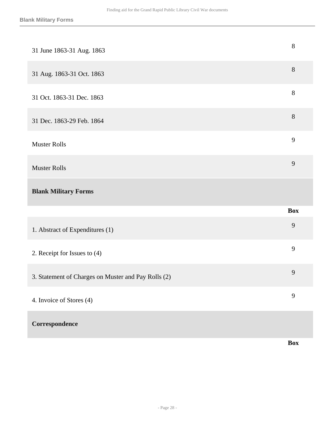| 31 June 1863-31 Aug. 1863                           | $8\,$          |
|-----------------------------------------------------|----------------|
| 31 Aug. 1863-31 Oct. 1863                           | 8              |
| 31 Oct. 1863-31 Dec. 1863                           | $8\,$          |
| 31 Dec. 1863-29 Feb. 1864                           | $8\,$          |
| <b>Muster Rolls</b>                                 | 9              |
| <b>Muster Rolls</b>                                 | 9              |
|                                                     |                |
| <b>Blank Military Forms</b>                         |                |
|                                                     | <b>Box</b>     |
| 1. Abstract of Expenditures (1)                     | 9              |
| 2. Receipt for Issues to (4)                        | 9              |
| 3. Statement of Charges on Muster and Pay Rolls (2) | 9              |
| 4. Invoice of Stores (4)                            | $\overline{9}$ |

**Box**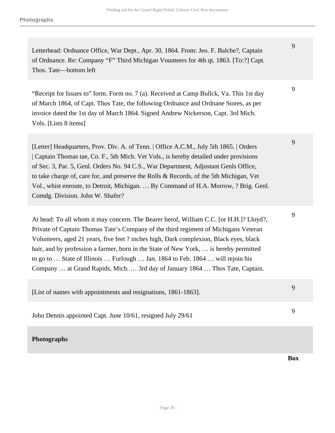Letterhead: Ordnance Office, War Dept., Apr. 30, 1864. From: Jeo. F. Balche?, Captain of Ordnance. Re: Company "F" Third Michigan Vounteers for 4th qt. 1863. [To:?] Capt. Thos. Tate—bottom left

"Receipt for Issues to" form. Form no. 7 (a). Received at Camp Bullck, Va. This 1st day of March 1864, of Capt. Thos Tate, the following Ordnance and Ordnane Stores, as per invoice dated the 1st day of March 1864. Signed Andrew Nickerson, Capt. 3rd Mich. Vols. [Lists 8 items]

[Letter] Headquarters, Prov. Div. A. of Tenn. | Office A.C.M., July 5th 1865. | Orders | Captain Thomas tae, Co. F., 5th Mich. Vet Vols., is hereby detailed under provisions of Sec. 3, Par. 5, Genl. Orders No. 94 C.S., War Department, Adjustant Genls Office, to take charge of, care for, and preserve the Rolls & Records, of the 5th Michigan, Vet Vol., whist enroute, to Detroit, Michigan. … By Command of H.A. Morrow, ? Brig. Genl. Comdg. Division. John W. Shafer?

At head: To all whom it may concern. The Bearer herof, William C.C. [or H.H.]? Lloyd?, Private of Captain Thomas Tate's Company of the third regiment of Michigans Veteran Volunteers, aged 21 years, five feet ? inches high, Dark complexion, Black eyes, black hair, and by profession a farmer, born in the State of New York, ... is hereby permitted to go to … State of Illinois … Furlough … Jan. 1864 to Feb. 1864 … will rejoin his Company … at Grand Rapids, Mich. … 3rd day of January 1864 … Thos Tate, Captain.

| [List of names with appointments and resignations, 1861-1863]. |  |
|----------------------------------------------------------------|--|
|                                                                |  |

John Dennis appointed Capt. June 10/61, resigned July 29/61

# **Photographs**

**Box**

9

9

9

9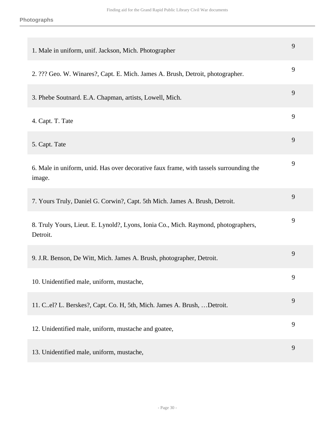| 1. Male in uniform, unif. Jackson, Mich. Photographer                                            | 9 |
|--------------------------------------------------------------------------------------------------|---|
| 2. ??? Geo. W. Winares?, Capt. E. Mich. James A. Brush, Detroit, photographer.                   | 9 |
| 3. Phebe Soutnard. E.A. Chapman, artists, Lowell, Mich.                                          | 9 |
| 4. Capt. T. Tate                                                                                 | 9 |
| 5. Capt. Tate                                                                                    | 9 |
| 6. Male in uniform, unid. Has over decorative faux frame, with tassels surrounding the<br>image. | 9 |
| 7. Yours Truly, Daniel G. Corwin?, Capt. 5th Mich. James A. Brush, Detroit.                      | 9 |
| 8. Truly Yours, Lieut. E. Lynold?, Lyons, Ionia Co., Mich. Raymond, photographers,<br>Detroit.   | 9 |
| 9. J.R. Benson, De Witt, Mich. James A. Brush, photographer, Detroit.                            | 9 |
| 10. Unidentified male, uniform, mustache,                                                        | 9 |
| 11. C.el? L. Berskes?, Capt. Co. H, 5th, Mich. James A. Brush,  Detroit.                         | 9 |
| 12. Unidentified male, uniform, mustache and goatee,                                             | 9 |
| 13. Unidentified male, uniform, mustache,                                                        | 9 |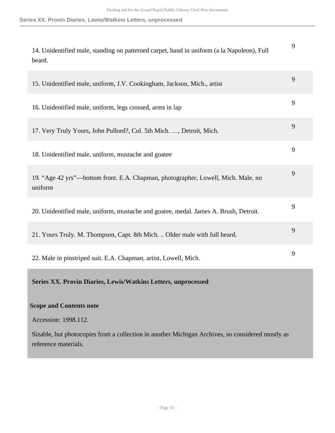# **Series XX. Provin Diaries, Lewis/Watkins Letters, unprocessed**

<span id="page-30-0"></span>

| 14. Unidentified male, standing on patterned carpet, hand in uniform (a la Napoleon), Full<br>beard.                     | 9 |
|--------------------------------------------------------------------------------------------------------------------------|---|
| 15. Unidentified male, uniform, J.V. Cookingham, Jackson, Mich., artist                                                  | 9 |
| 16. Unidentified male, uniform, legs crossed, arms in lap                                                                | 9 |
| 17. Very Truly Yours, John Pullord?, Col. 5th Mich. , Detroit, Mich.                                                     | 9 |
| 18. Unidentified male, uniform, mustache and goatee                                                                      | 9 |
| 19. "Age 42 yrs"—bottom front. E.A. Chapman, photographer, Lowell, Mich. Male, no<br>uniform                             | 9 |
| 20. Unidentified male, uniform, mustache and goatee, medal. James A. Brush, Detroit.                                     | 9 |
| 21. Yours Truly. M. Thompson, Capt. 8th Mich.  Older male with full beard.                                               | 9 |
| 22. Male in pinstriped suit. E.A. Chapman, artist, Lowell, Mich.                                                         | 9 |
| Series XX. Provin Diaries, Lewis/Watkins Letters, unprocessed                                                            |   |
| <b>Scope and Contents note</b>                                                                                           |   |
| Accession: 1998.112.                                                                                                     |   |
| Sizable, but photocopies from a collection in another Michigan Archives, so considered mostly as<br>reference materials. |   |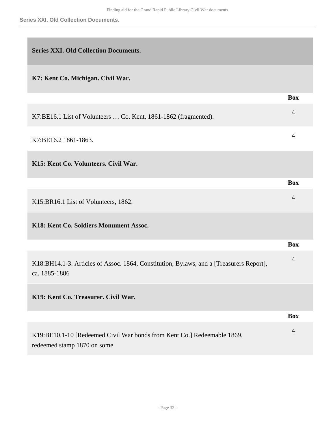<span id="page-31-0"></span>

| <b>Series XXI. Old Collection Documents.</b>                                                             |                |
|----------------------------------------------------------------------------------------------------------|----------------|
| K7: Kent Co. Michigan. Civil War.                                                                        |                |
|                                                                                                          | <b>Box</b>     |
| K7:BE16.1 List of Volunteers  Co. Kent, 1861-1862 (fragmented).                                          | $\overline{4}$ |
| K7:BE16.2 1861-1863.                                                                                     | 4              |
| K15: Kent Co. Volunteers. Civil War.                                                                     |                |
|                                                                                                          | <b>Box</b>     |
| K15:BR16.1 List of Volunteers, 1862.                                                                     | $\overline{4}$ |
| K18: Kent Co. Soldiers Monument Assoc.                                                                   |                |
|                                                                                                          | <b>Box</b>     |
| K18:BH14.1-3. Articles of Assoc. 1864, Constitution, Bylaws, and a [Treasurers Report],<br>ca. 1885-1886 | $\overline{4}$ |
| K19: Kent Co. Treasurer. Civil War.                                                                      |                |
|                                                                                                          | <b>Box</b>     |
| K19:BE10.1-10 [Redeemed Civil War bonds from Kent Co.] Redeemable 1869,<br>redeemed stamp 1870 on some   | $\overline{4}$ |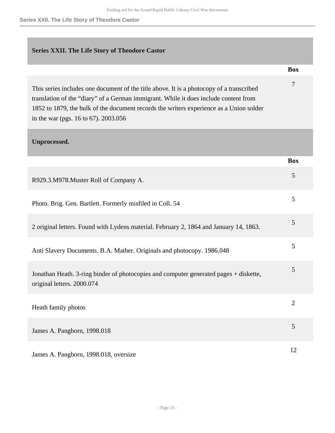**Series XXII. The Life Story of Theodore Castor**

# <span id="page-32-0"></span>**Series XXII. The Life Story of Theodore Castor**

| Box |
|-----|
|     |

7

| This series includes one document of the title above. It is a photocopy of a transcribed |
|------------------------------------------------------------------------------------------|
| translation of the "diary" of a German immigrant. While it does include content from     |
| 1852 to 1879, the bulk of the document records the writers experience as a Union solder  |
| in the war (pgs. $16$ to 67). 2003.056                                                   |

# <span id="page-32-1"></span>**Unprocessed.**

|                                                                                                                     | <b>Box</b>     |
|---------------------------------------------------------------------------------------------------------------------|----------------|
| R929.3.M978.Muster Roll of Company A.                                                                               | 5              |
| Photo. Brig. Gen. Bartlett. Formerly misfiled in Coll. 54                                                           | 5              |
| 2 original letters. Found with Lydens material. February 2, 1864 and January 14, 1863.                              | 5              |
| Anti Slavery Documents. B.A. Mather. Originals and photocopy. 1986.048                                              | 5              |
| Jonathan Heath. 3-ring binder of photocopies and computer generated pages + diskette,<br>original letters. 2000.074 | 5              |
| Heath family photos                                                                                                 | $\overline{2}$ |
| James A. Pangborn, 1998.018                                                                                         | 5              |
| James A. Pangborn, 1998.018, oversize                                                                               | 12             |